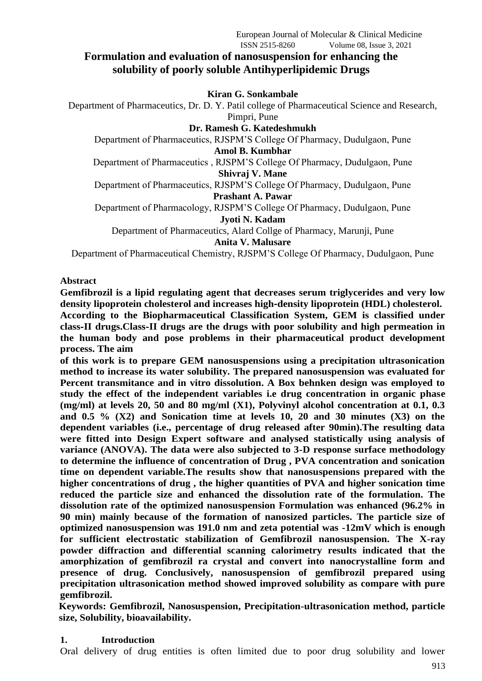# **Formulation and evaluation of nanosuspension for enhancing the solubility of poorly soluble Antihyperlipidemic Drugs**

#### **Kiran G. Sonkambale**

Department of Pharmaceutics, Dr. D. Y. Patil college of Pharmaceutical Science and Research, Pimpri, Pune

**Dr. Ramesh G. Katedeshmukh**

Department of Pharmaceutics, RJSPM'S College Of Pharmacy, Dudulgaon, Pune **Amol B. Kumbhar**

Department of Pharmaceutics , RJSPM'S College Of Pharmacy, Dudulgaon, Pune **Shivraj V. Mane**

Department of Pharmaceutics, RJSPM'S College Of Pharmacy, Dudulgaon, Pune **Prashant A. Pawar**

Department of Pharmacology, RJSPM'S College Of Pharmacy, Dudulgaon, Pune

**Jyoti N. Kadam**

Department of Pharmaceutics, Alard Collge of Pharmacy, Marunji, Pune

**Anita V. Malusare**

Department of Pharmaceutical Chemistry, RJSPM'S College Of Pharmacy, Dudulgaon, Pune

#### **Abstract**

**Gemfibrozil is a lipid regulating agent that decreases serum triglycerides and very low density lipoprotein cholesterol and increases high**‑**density lipoprotein (HDL) cholesterol. According to the Biopharmaceutical Classification System, GEM is classified under class**‑**II drugs.Class**‑**II drugs are the drugs with poor solubility and high permeation in the human body and pose problems in their pharmaceutical product development process. The aim**

**of this work is to prepare GEM nanosuspensions using a precipitation ultrasonication method to increase its water solubility. The prepared nanosuspension was evaluated for Percent transmitance and in vitro dissolution. A Box behnken design was employed to study the effect of the independent variables i.e drug concentration in organic phase (mg/ml) at levels 20, 50 and 80 mg/ml (X1), Polyvinyl alcohol concentration at 0.1, 0.3 and 0.5 % (X2) and Sonication time at levels 10, 20 and 30 minutes (X3) on the dependent variables (i.e., percentage of drug released after 90min).The resulting data were fitted into Design Expert software and analysed statistically using analysis of variance (ANOVA). The data were also subjected to 3-D response surface methodology to determine the influence of concentration of Drug , PVA concentration and sonication time on dependent variable.The results show that nanosuspensions prepared with the higher concentrations of drug , the higher quantities of PVA and higher sonication time reduced the particle size and enhanced the dissolution rate of the formulation. The dissolution rate of the optimized nanosuspension Formulation was enhanced (96.2% in 90 min) mainly because of the formation of nanosized particles. The particle size of optimized nanosuspension was 191.0 nm and zeta potential was -12mV which is enough for sufficient electrostatic stabilization of Gemfibrozil nanosuspension. The X-ray powder diffraction and differential scanning calorimetry results indicated that the amorphization of gemfibrozil ra crystal and convert into nanocrystalline form and presence of drug. Conclusively, nanosuspension of gemfibrozil prepared using precipitation ultrasonication method showed improved solubility as compare with pure gemfibrozil.**

**Keywords: Gemfibrozil, Nanosuspension, Precipitation-ultrasonication method, particle size, Solubility, bioavailability.**

#### **1. Introduction**

Oral delivery of drug entities is often limited due to poor drug solubility and lower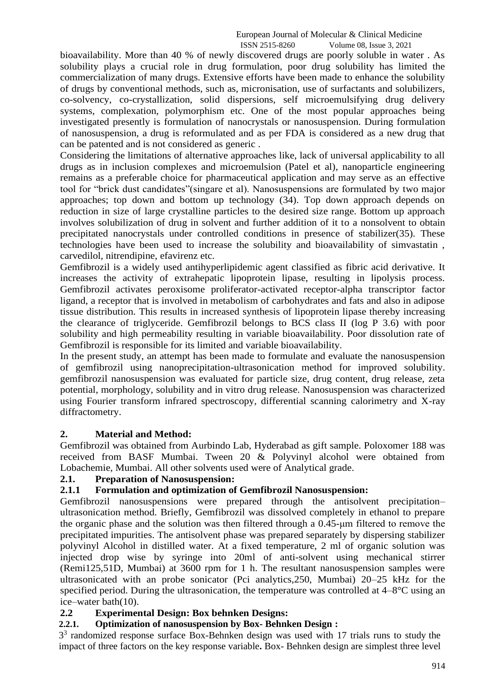bioavailability. More than 40 % of newly discovered drugs are poorly soluble in water . As solubility plays a crucial role in drug formulation, poor drug solubility has limited the commercialization of many drugs. Extensive efforts have been made to enhance the solubility of drugs by conventional methods, such as, micronisation, use of surfactants and solubilizers, co-solvency, co-crystallization, solid dispersions, self microemulsifying drug delivery systems, complexation, polymorphism etc. One of the most popular approaches being investigated presently is formulation of nanocrystals or nanosuspension. During formulation of nanosuspension, a drug is reformulated and as per FDA is considered as a new drug that can be patented and is not considered as generic .

Considering the limitations of alternative approaches like, lack of universal applicability to all drugs as in inclusion complexes and microemulsion (Patel et al), nanoparticle engineering remains as a preferable choice for pharmaceutical application and may serve as an effective tool for "brick dust candidates"(singare et al). Nanosuspensions are formulated by two major approaches; top down and bottom up technology (34). Top down approach depends on reduction in size of large crystalline particles to the desired size range. Bottom up approach involves solubilization of drug in solvent and further addition of it to a nonsolvent to obtain precipitated nanocrystals under controlled conditions in presence of stabilizer(35). These technologies have been used to increase the solubility and bioavailability of simvastatin , carvedilol, nitrendipine, efavirenz etc.

Gemfibrozil is a widely used antihyperlipidemic agent classified as fibric acid derivative. It increases the activity of extrahepatic lipoprotein lipase, resulting in lipolysis process. Gemfibrozil activates peroxisome proliferator-activated receptor-alpha transcriptor factor ligand, a receptor that is involved in metabolism of carbohydrates and fats and also in adipose tissue distribution. This results in increased synthesis of lipoprotein lipase thereby increasing the clearance of triglyceride. Gemfibrozil belongs to BCS class II (log P 3.6) with poor solubility and high permeability resulting in variable bioavailability. Poor dissolution rate of Gemfibrozil is responsible for its limited and variable bioavailability.

In the present study, an attempt has been made to formulate and evaluate the nanosuspension of gemfibrozil using nanoprecipitation-ultrasonication method for improved solubility. gemfibrozil nanosuspension was evaluated for particle size, drug content, drug release, zeta potential, morphology, solubility and in vitro drug release. Nanosuspension was characterized using Fourier transform infrared spectroscopy, differential scanning calorimetry and X-ray diffractometry.

## **2. Material and Method:**

Gemfibrozil was obtained from Aurbindo Lab, Hyderabad as gift sample. Poloxomer 188 was received from BASF Mumbai. Tween 20 & Polyvinyl alcohol were obtained from Lobachemie, Mumbai. All other solvents used were of Analytical grade.

#### **2.1. Preparation of Nanosuspension:**

#### **2.1.1 Formulation and optimization of Gemfibrozil Nanosuspension:**

Gemfibrozil nanosuspensions were prepared through the antisolvent precipitation– ultrasonication method. Briefly, Gemfibrozil was dissolved completely in ethanol to prepare the organic phase and the solution was then filtered through a 0.45-μm filtered to remove the precipitated impurities. The antisolvent phase was prepared separately by dispersing stabilizer polyvinyl Alcohol in distilled water. At a fixed temperature, 2 ml of organic solution was injected drop wise by syringe into 20ml of anti-solvent using mechanical stirrer (Remi125,51D, Mumbai) at 3600 rpm for 1 h. The resultant nanosuspension samples were ultrasonicated with an probe sonicator (Pci analytics,250, Mumbai) 20–25 kHz for the specified period. During the ultrasonication, the temperature was controlled at 4–8°C using an ice–water bath(10).

#### **2.2 Experimental Design: Box behnken Designs:**

### **2.2.1. Optimization of nanosuspension by Box- Behnken Design :**

 $3<sup>3</sup>$  randomized response surface Box-Behnken design was used with 17 trials runs to study the impact of three factors on the key response variable**.** Box- Behnken design are simplest three level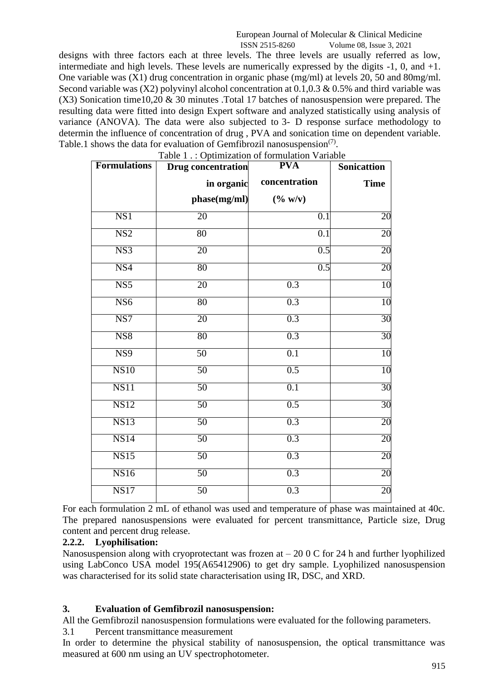ISSN 2515-8260 Volume 08, Issue 3, 2021

designs with three factors each at three levels. The three levels are usually referred as low, intermediate and high levels. These levels are numerically expressed by the digits -1, 0, and +1. One variable was (X1) drug concentration in organic phase (mg/ml) at levels 20, 50 and 80mg/ml. Second variable was  $(X2)$  polyvinyl alcohol concentration at 0.1,0.3 & 0.5% and third variable was  $(X3)$  Sonication time10,20 & 30 minutes . Total 17 batches of nanosuspension were prepared. The resulting data were fitted into design Expert software and analyzed statistically using analysis of variance (ANOVA). The data were also subjected to 3- D response surface methodology to determin the influence of concentration of drug , PVA and sonication time on dependent variable. Table.1 shows the data for evaluation of Gemfibrozil nanosuspension<sup>(7)</sup>.  $Table 1:$  Optimization of formulation Variable

| <b>Formulations</b> | <b>Table 1</b> Optimization of formulation variable<br><b>Drug concentration</b> | <b>PVA</b>       | <b>Sonicattion</b> |
|---------------------|----------------------------------------------------------------------------------|------------------|--------------------|
|                     | in organic                                                                       | concentration    | <b>Time</b>        |
|                     | phase(mg/ml)                                                                     | $(\% w/v)$       |                    |
| NS1                 | 20                                                                               | 0.1              | 20                 |
| NS <sub>2</sub>     | 80                                                                               | 0.1              | 20                 |
| NS3                 | 20                                                                               | 0.5              | 20                 |
| NS4                 | 80                                                                               | 0.5              | 20                 |
| NS <sub>5</sub>     | 20                                                                               | 0.3              | 10                 |
| NS <sub>6</sub>     | 80                                                                               | 0.3              | $\overline{10}$    |
| NS7                 | 20                                                                               | 0.3              | 30                 |
| NS <sub>8</sub>     | 80                                                                               | 0.3              | 30                 |
| NS9                 | 50                                                                               | 0.1              | 10                 |
| <b>NS10</b>         | 50                                                                               | 0.5              | 10                 |
| <b>NS11</b>         | 50                                                                               | $\overline{0.1}$ | 30                 |
| <b>NS12</b>         | 50                                                                               | 0.5              | 30                 |
| <b>NS13</b>         | 50                                                                               | 0.3              | 20                 |
| NS14                | 50                                                                               | 0.3              | 20                 |
| <b>NS15</b>         | 50                                                                               | 0.3              | 20                 |
| <b>NS16</b>         | $\overline{50}$                                                                  | 0.3              | 20                 |
| <b>NS17</b>         | $\overline{50}$                                                                  | 0.3              | 20                 |

For each formulation 2 mL of ethanol was used and temperature of phase was maintained at 40c. The prepared nanosuspensions were evaluated for percent transmittance, Particle size, Drug content and percent drug release.

# **2.2.2. Lyophilisation:**

Nanosuspension along with cryoprotectant was frozen at  $-200C$  for 24 h and further lyophilized using LabConco USA model 195(A65412906) to get dry sample. Lyophilized nanosuspension was characterised for its solid state characterisation using IR, DSC, and XRD.

## **3. Evaluation of Gemfibrozil nanosuspension:**

All the Gemfibrozil nanosuspension formulations were evaluated for the following parameters.

## 3.1 Percent transmittance measurement

In order to determine the physical stability of nanosuspension, the optical transmittance was measured at 600 nm using an UV spectrophotometer.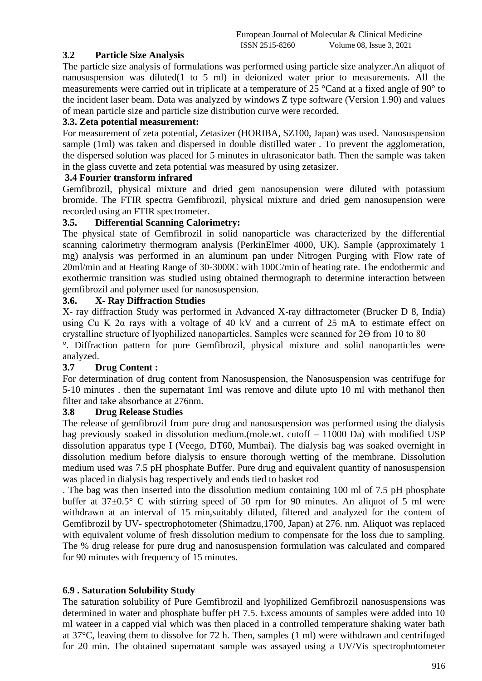## **3.2 Particle Size Analysis**

The particle size analysis of formulations was performed using particle size analyzer.An aliquot of nanosuspension was diluted(1 to 5 ml) in deionized water prior to measurements. All the measurements were carried out in triplicate at a temperature of 25 °Cand at a fixed angle of 90° to the incident laser beam. Data was analyzed by windows Z type software (Version 1.90) and values of mean particle size and particle size distribution curve were recorded.

### **3.3. Zeta potential measurement:**

For measurement of zeta potential, Zetasizer (HORIBA, SZ100, Japan) was used. Nanosuspension sample (1ml) was taken and dispersed in double distilled water . To prevent the agglomeration, the dispersed solution was placed for 5 minutes in ultrasonicator bath. Then the sample was taken in the glass cuvette and zeta potential was measured by using zetasizer.

#### **3.4 Fourier transform infrared**

Gemfibrozil, physical mixture and dried gem nanosupension were diluted with potassium bromide. The FTIR spectra Gemfibrozil, physical mixture and dried gem nanosupension were recorded using an FTIR spectrometer.

#### **3.5. Differential Scanning Calorimetry:**

The physical state of Gemfibrozil in solid nanoparticle was characterized by the differential scanning calorimetry thermogram analysis (PerkinElmer 4000, UK). Sample (approximately 1 mg) analysis was performed in an aluminum pan under Nitrogen Purging with Flow rate of 20ml/min and at Heating Range of 30-3000C with 100C/min of heating rate. The endothermic and exothermic transition was studied using obtained thermograph to determine interaction between gemfibrozil and polymer used for nanosuspension.

### **3.6. X- Ray Diffraction Studies**

X- ray diffraction Study was performed in Advanced X-ray diffractometer (Brucker D 8, India) using Cu K  $2\alpha$  rays with a voltage of 40 kV and a current of  $25 \text{ mA}$  to estimate effect on crystalline structure of lyophilized nanoparticles. Samples were scanned for  $2\Theta$  from 10 to 80

°. Diffraction pattern for pure Gemfibrozil, physical mixture and solid nanoparticles were analyzed.

#### **3.7 Drug Content :**

For determination of drug content from Nanosuspension, the Nanosuspension was centrifuge for 5-10 minutes . then the supernatant 1ml was remove and dilute upto 10 ml with methanol then filter and take absorbance at 276nm.

#### **3.8 Drug Release Studies**

The release of gemfibrozil from pure drug and nanosuspension was performed using the dialysis bag previously soaked in dissolution medium.(mole.wt. cutoff – 11000 Da) with modified USP dissolution apparatus type I (Veego, DT60, Mumbai). The dialysis bag was soaked overnight in dissolution medium before dialysis to ensure thorough wetting of the membrane. Dissolution medium used was 7.5 pH phosphate Buffer. Pure drug and equivalent quantity of nanosuspension was placed in dialysis bag respectively and ends tied to basket rod

. The bag was then inserted into the dissolution medium containing 100 ml of 7.5 pH phosphate buffer at  $37\pm0.5^{\circ}$  C with stirring speed of 50 rpm for 90 minutes. An aliquot of 5 ml were withdrawn at an interval of 15 min,suitably diluted, filtered and analyzed for the content of Gemfibrozil by UV- spectrophotometer (Shimadzu,1700, Japan) at 276. nm. Aliquot was replaced with equivalent volume of fresh dissolution medium to compensate for the loss due to sampling. The % drug release for pure drug and nanosuspension formulation was calculated and compared for 90 minutes with frequency of 15 minutes.

## **6.9 . Saturation Solubility Study**

The saturation solubility of Pure Gemfibrozil and lyophilized Gemfibrozil nanosuspensions was determined in water and phosphate buffer pH 7.5. Excess amounts of samples were added into 10 ml wateer in a capped vial which was then placed in a controlled temperature shaking water bath at 37°C, leaving them to dissolve for 72 h. Then, samples (1 ml) were withdrawn and centrifuged for 20 min. The obtained supernatant sample was assayed using a UV/Vis spectrophotometer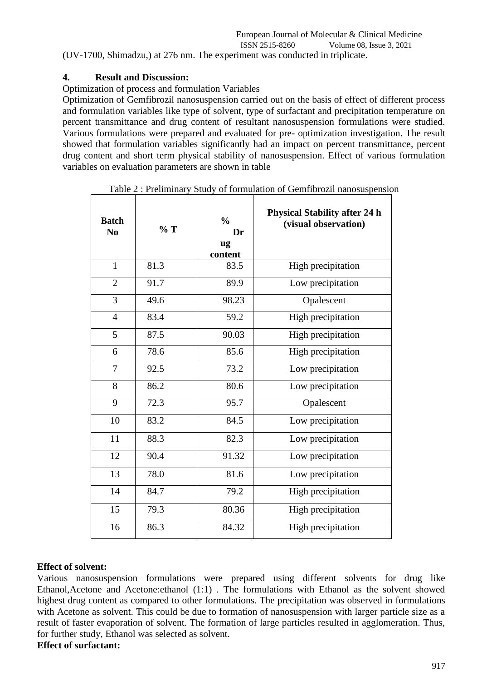## **4. Result and Discussion:**

Optimization of process and formulation Variables

Optimization of Gemfibrozil nanosuspension carried out on the basis of effect of different process and formulation variables like type of solvent, type of surfactant and precipitation temperature on percent transmittance and drug content of resultant nanosuspension formulations were studied. Various formulations were prepared and evaluated for pre- optimization investigation. The result showed that formulation variables significantly had an impact on percent transmittance, percent drug content and short term physical stability of nanosuspension. Effect of various formulation variables on evaluation parameters are shown in table

| <b>Batch</b><br>N <sub>0</sub> | %T   | $\frac{0}{0}$<br>Dr<br>ug<br>content | <b>Physical Stability after 24 h</b><br>(visual observation) |
|--------------------------------|------|--------------------------------------|--------------------------------------------------------------|
| $\mathbf{1}$                   | 81.3 | 83.5                                 | High precipitation                                           |
| $\overline{2}$                 | 91.7 | 89.9                                 | Low precipitation                                            |
| 3                              | 49.6 | 98.23                                | Opalescent                                                   |
| $\overline{4}$                 | 83.4 | 59.2                                 | High precipitation                                           |
| 5                              | 87.5 | 90.03                                | High precipitation                                           |
| 6                              | 78.6 | 85.6                                 | High precipitation                                           |
| 7                              | 92.5 | 73.2                                 | Low precipitation                                            |
| 8                              | 86.2 | 80.6                                 | Low precipitation                                            |
| 9                              | 72.3 | 95.7                                 | Opalescent                                                   |
| 10                             | 83.2 | 84.5                                 | Low precipitation                                            |
| 11                             | 88.3 | 82.3                                 | Low precipitation                                            |
| 12                             | 90.4 | 91.32                                | Low precipitation                                            |
| 13                             | 78.0 | 81.6                                 | Low precipitation                                            |
| 14                             | 84.7 | 79.2                                 | High precipitation                                           |
| 15                             | 79.3 | 80.36                                | High precipitation                                           |
| 16                             | 86.3 | 84.32                                | High precipitation                                           |

Table 2 : Preliminary Study of formulation of Gemfibrozil nanosuspension

# **Effect of solvent:**

Various nanosuspension formulations were prepared using different solvents for drug like Ethanol,Acetone and Acetone:ethanol (1:1) . The formulations with Ethanol as the solvent showed highest drug content as compared to other formulations. The precipitation was observed in formulations with Acetone as solvent. This could be due to formation of nanosuspension with larger particle size as a result of faster evaporation of solvent. The formation of large particles resulted in agglomeration. Thus, for further study, Ethanol was selected as solvent.

### **Effect of surfactant:**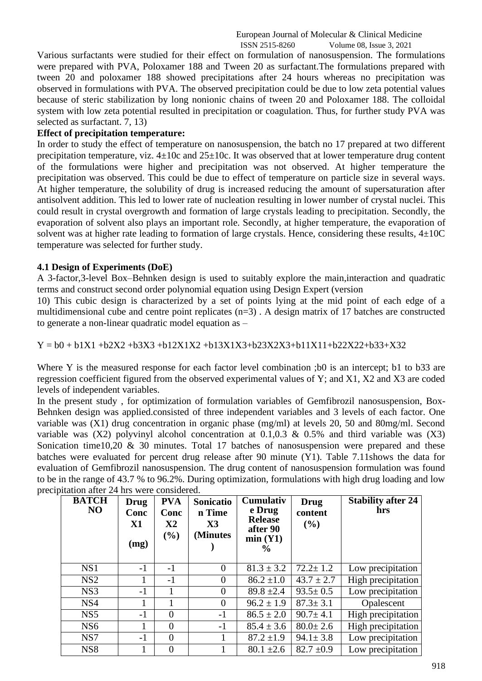Various surfactants were studied for their effect on formulation of nanosuspension. The formulations were prepared with PVA, Poloxamer 188 and Tween 20 as surfactant.The formulations prepared with tween 20 and poloxamer 188 showed precipitations after 24 hours whereas no precipitation was observed in formulations with PVA. The observed precipitation could be due to low zeta potential values because of steric stabilization by long nonionic chains of tween 20 and Poloxamer 188. The colloidal system with low zeta potential resulted in precipitation or coagulation. Thus, for further study PVA was selected as surfactant. 7, 13)

### **Effect of precipitation temperature:**

In order to study the effect of temperature on nanosuspension, the batch no 17 prepared at two different precipitation temperature, viz.  $4\pm 10c$  and  $25\pm 10c$ . It was observed that at lower temperature drug content of the formulations were higher and precipitation was not observed. At higher temperature the precipitation was observed. This could be due to effect of temperature on particle size in several ways. At higher temperature, the solubility of drug is increased reducing the amount of supersaturation after antisolvent addition. This led to lower rate of nucleation resulting in lower number of crystal nuclei. This could result in crystal overgrowth and formation of large crystals leading to precipitation. Secondly, the evaporation of solvent also plays an important role. Secondly, at higher temperature, the evaporation of solvent was at higher rate leading to formation of large crystals. Hence, considering these results,  $4\pm10$ C temperature was selected for further study.

### **4.1 Design of Experiments (DoE)**

A 3-factor,3-level Box–Behnken design is used to suitably explore the main,interaction and quadratic terms and construct second order polynomial equation using Design Expert (version

10) This cubic design is characterized by a set of points lying at the mid point of each edge of a multidimensional cube and centre point replicates (n=3) . A design matrix of 17 batches are constructed to generate a non-linear quadratic model equation as –

### $Y = b0 + b1X1 + b2X2 + b3X3 + b12X1X2 + b13X1X3 + b23X2X3 + b11X11 + b22X22 + b33+X32$

Where Y is the measured response for each factor level combination ;b0 is an intercept; b1 to b33 are regression coefficient figured from the observed experimental values of Y; and X1, X2 and X3 are coded levels of independent variables.

In the present study , for optimization of formulation variables of Gemfibrozil nanosuspension, Box-Behnken design was applied.consisted of three independent variables and 3 levels of each factor. One variable was (X1) drug concentration in organic phase (mg/ml) at levels 20, 50 and 80mg/ml. Second variable was  $(X2)$  polyvinyl alcohol concentration at 0.1,0.3 & 0.5% and third variable was  $(X3)$ Sonication time10,20  $\&$  30 minutes. Total 17 batches of nanosuspension were prepared and these batches were evaluated for percent drug release after 90 minute (Y1). Table 7.11shows the data for evaluation of Gemfibrozil nanosuspension. The drug content of nanosuspension formulation was found to be in the range of 43.7 % to 96.2%. During optimization, formulations with high drug loading and low precipitation after 24 hrs were considered.

| <b>BATCH</b><br>N <sub>O</sub> | Drug<br>Conc<br>$\mathbf{X}$ 1<br>(mg) | <b>PVA</b><br>Conc<br>$\mathbf{X}2$<br>(%) | <b>Sonicatio</b><br>n Time<br>$\mathbf{X}$ 3<br>(Minutes) | <b>Cumulativ</b><br>e Drug<br><b>Release</b><br>after 90<br>min(Y1)<br>$\frac{6}{9}$ | Drug<br>content<br>$(\%)$ | <b>Stability after 24</b><br>hrs |
|--------------------------------|----------------------------------------|--------------------------------------------|-----------------------------------------------------------|--------------------------------------------------------------------------------------|---------------------------|----------------------------------|
| NS1                            | $-1$                                   | $-1$                                       | $\Omega$                                                  | $81.3 \pm 3.2$                                                                       | $72.2 \pm 1.2$            | Low precipitation                |
| NS <sub>2</sub>                | 1                                      | $-1$                                       | $\overline{0}$                                            | $86.2 \pm 1.0$                                                                       | $43.7 \pm 2.7$            | High precipitation               |
| NS3                            | $-1$                                   |                                            | $\overline{0}$                                            | $89.8 \pm 2.4$                                                                       | $93.5 \pm 0.5$            | Low precipitation                |
| NS4                            |                                        |                                            | $\theta$                                                  | $96.2 \pm 1.9$                                                                       | $87.3 \pm 3.1$            | Opalescent                       |
| NS <sub>5</sub>                | $-1$                                   | $\Omega$                                   | $-1$                                                      | $86.5 \pm 2.0$                                                                       | $90.7 \pm 4.1$            | High precipitation               |
| NS <sub>6</sub>                |                                        | $\theta$                                   | $-1$                                                      | $85.4 \pm 3.6$                                                                       | $80.0 \pm 2.6$            | High precipitation               |
| NS7                            | $-1$                                   | $\theta$                                   |                                                           | $87.2 \pm 1.9$                                                                       | $94.1 \pm 3.8$            | Low precipitation                |
| NS <sub>8</sub>                |                                        | $\Omega$                                   |                                                           | $80.1 \pm 2.6$                                                                       | $82.7 \pm 0.9$            | Low precipitation                |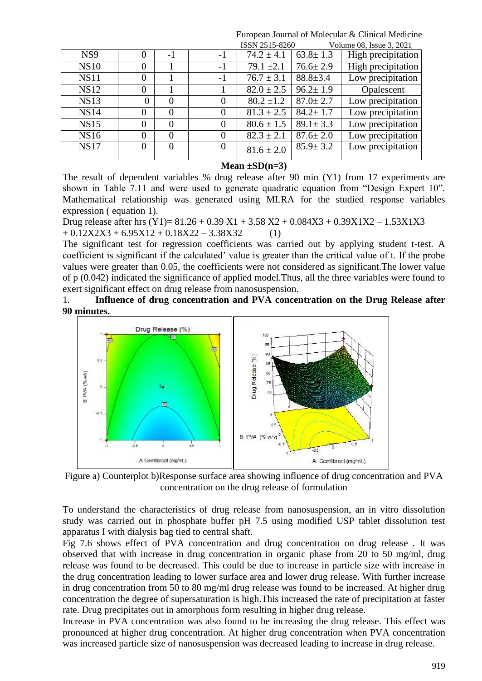|   |          |          |                |                | Volume 08, Issue 3, 2021 |
|---|----------|----------|----------------|----------------|--------------------------|
| 0 | $-1$     | $-1$     | $74.2 \pm 4.1$ | $63.8 \pm 1.3$ | High precipitation       |
| 0 |          | $-1$     | $79.1 \pm 2.1$ | $76.6 \pm 2.9$ | High precipitation       |
| 0 |          | $-1$     | $76.7 \pm 3.1$ | $88.8 \pm 3.4$ | Low precipitation        |
| 0 |          |          | $82.0 \pm 2.5$ | $96.2 \pm 1.9$ | Opalescent               |
| 0 | $\Omega$ | $\Omega$ | $80.2 \pm 1.2$ | $87.0 \pm 2.7$ | Low precipitation        |
| 0 | $\theta$ | 0        | $81.3 \pm 2.5$ | $84.2 \pm 1.7$ | Low precipitation        |
| 0 | $\Omega$ | $\Omega$ | $80.6 \pm 1.5$ | $89.1 \pm 3.3$ | Low precipitation        |
| 0 | $\Omega$ | $\Omega$ | $82.3 \pm 2.1$ | $87.6 \pm 2.0$ | Low precipitation        |
| 0 | $\theta$ | $\theta$ | $81.6 \pm 2.0$ | $85.9 \pm 3.2$ | Low precipitation        |
|   |          |          |                |                | ISSN 2515-8260           |

**Mean ±SD(n=3)**

The result of dependent variables % drug release after 90 min (Y1) from 17 experiments are shown in Table 7.11 and were used to generate quadratic equation from "Design Expert 10". Mathematical relationship was generated using MLRA for the studied response variables expression ( equation 1).

Drug release after hrs  $(Y1) = 81.26 + 0.39 X1 + 3.58 X2 + 0.084X3 + 0.39X1X2 - 1.53X1X3$  $+ 0.12X2X3 + 6.95X12 + 0.18X22 - 3.38X32$  (1)

The significant test for regression coefficients was carried out by applying student t-test. A coefficient is significant if the calculated' value is greater than the critical value of t. If the probe values were greater than 0.05, the coefficients were not considered as significant.The lower value of p (0.042) indicated the significance of applied model.Thus, all the three variables were found to exert significant effect on drug release from nanosuspension.

1. **Influence of drug concentration and PVA concentration on the Drug Release after 90 minutes.**



Figure a) Counterplot b)Response surface area showing influence of drug concentration and PVA concentration on the drug release of formulation

To understand the characteristics of drug release from nanosuspension, an in vitro dissolution study was carried out in phosphate buffer pH 7.5 using modified USP tablet dissolution test apparatus I with dialysis bag tied to central shaft.

Fig 7.6 shows effect of PVA concentration and drug concentration on drug release . It was observed that with increase in drug concentration in organic phase from 20 to 50 mg/ml, drug release was found to be decreased. This could be due to increase in particle size with increase in the drug concentration leading to lower surface area and lower drug release. With further increase in drug concentration from 50 to 80 mg/ml drug release was found to be increased. At higher drug concentration the degree of supersaturation is high.This increased the rate of precipitation at faster rate. Drug precipitates out in amorphous form resulting in higher drug release.

Increase in PVA concentration was also found to be increasing the drug release. This effect was pronounced at higher drug concentration. At higher drug concentration when PVA concentration was increased particle size of nanosuspension was decreased leading to increase in drug release.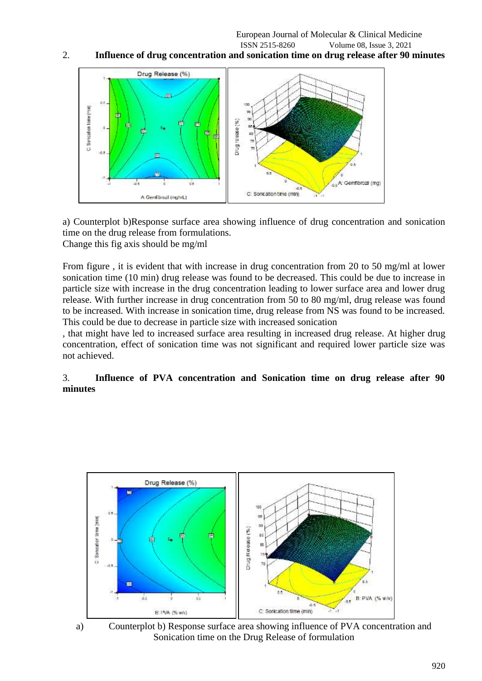### 2. **Influence of drug concentration and sonication time on drug release after 90 minutes**



a) Counterplot b)Response surface area showing influence of drug concentration and sonication time on the drug release from formulations. Change this fig axis should be mg/ml

From figure , it is evident that with increase in drug concentration from 20 to 50 mg/ml at lower sonication time (10 min) drug release was found to be decreased. This could be due to increase in particle size with increase in the drug concentration leading to lower surface area and lower drug release. With further increase in drug concentration from 50 to 80 mg/ml, drug release was found to be increased. With increase in sonication time, drug release from NS was found to be increased. This could be due to decrease in particle size with increased sonication

, that might have led to increased surface area resulting in increased drug release. At higher drug concentration, effect of sonication time was not significant and required lower particle size was not achieved.

#### 3. **Influence of PVA concentration and Sonication time on drug release after 90 minutes**





a) Counterplot b) Response surface area showing influence of PVA concentration and Sonication time on the Drug Release of formulation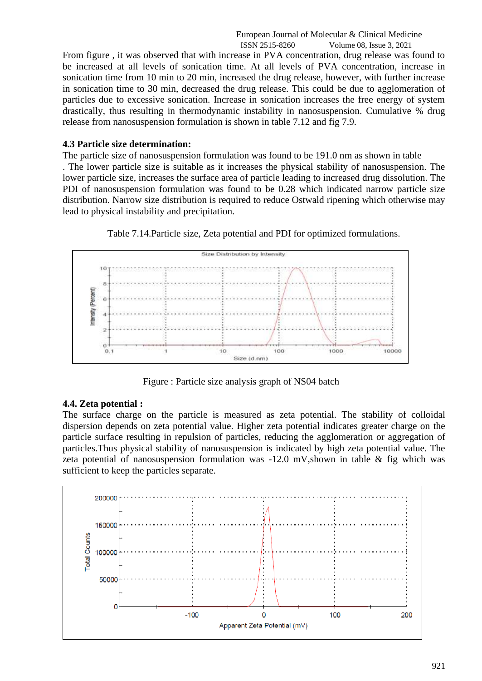From figure , it was observed that with increase in PVA concentration, drug release was found to be increased at all levels of sonication time. At all levels of PVA concentration, increase in sonication time from 10 min to 20 min, increased the drug release, however, with further increase in sonication time to 30 min, decreased the drug release. This could be due to agglomeration of particles due to excessive sonication. Increase in sonication increases the free energy of system drastically, thus resulting in thermodynamic instability in nanosuspension. Cumulative % drug release from nanosuspension formulation is shown in table 7.12 and fig 7.9.

#### **4.3 Particle size determination:**

The particle size of nanosuspension formulation was found to be 191.0 nm as shown in table

. The lower particle size is suitable as it increases the physical stability of nanosuspension. The lower particle size, increases the surface area of particle leading to increased drug dissolution. The PDI of nanosuspension formulation was found to be 0.28 which indicated narrow particle size distribution. Narrow size distribution is required to reduce Ostwald ripening which otherwise may lead to physical instability and precipitation.



Table 7.14.Particle size, Zeta potential and PDI for optimized formulations.

Figure : Particle size analysis graph of NS04 batch

#### **4.4. Zeta potential :**

The surface charge on the particle is measured as zeta potential. The stability of colloidal dispersion depends on zeta potential value. Higher zeta potential indicates greater charge on the particle surface resulting in repulsion of particles, reducing the agglomeration or aggregation of particles.Thus physical stability of nanosuspension is indicated by high zeta potential value. The zeta potential of nanosuspension formulation was  $-12.0$  mV,shown in table & fig which was sufficient to keep the particles separate.

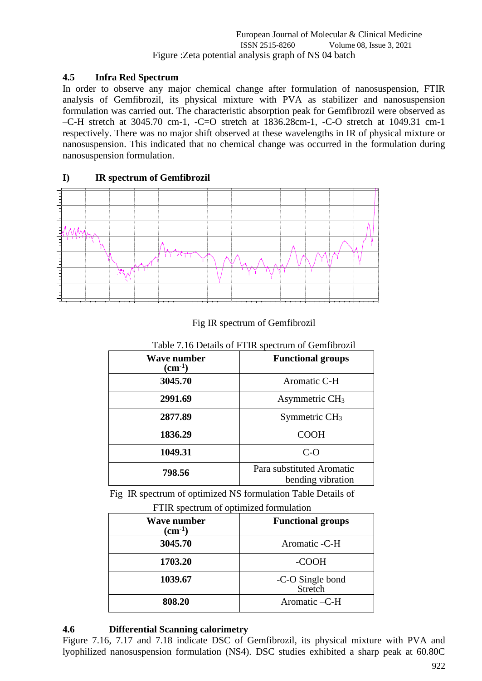## **4.5 Infra Red Spectrum**

In order to observe any major chemical change after formulation of nanosuspension, FTIR analysis of Gemfibrozil, its physical mixture with PVA as stabilizer and nanosuspension formulation was carried out. The characteristic absorption peak for Gemfibrozil were observed as –C-H stretch at 3045.70 cm-1, -C=O stretch at 1836.28cm-1, -C-O stretch at 1049.31 cm-1 respectively. There was no major shift observed at these wavelengths in IR of physical mixture or nanosuspension. This indicated that no chemical change was occurred in the formulation during nanosuspension formulation.

# **I) IR spectrum of Gemfibrozil**



## Fig IR spectrum of Gemfibrozil

| Table 7.10 Details of FTTK spectrum of Gemmorozii |                                                |  |  |
|---------------------------------------------------|------------------------------------------------|--|--|
| <b>Wave number</b><br>$\rm (cm^{-1})$             | <b>Functional groups</b>                       |  |  |
| 3045.70                                           | Aromatic C-H                                   |  |  |
| 2991.69                                           | Asymmetric CH <sub>3</sub>                     |  |  |
| 2877.89                                           | Symmetric $CH3$                                |  |  |
| 1836.29                                           | <b>COOH</b>                                    |  |  |
| 1049.31                                           | $C-O$                                          |  |  |
| 798.56                                            | Para substituted Aromatic<br>bending vibration |  |  |

# Table 7.16 Details of FTIR spectrum of Gemfibrozil

Fig IR spectrum of optimized NS formulation Table Details of

|  | FTIR spectrum of optimized formulation |
|--|----------------------------------------|
|--|----------------------------------------|

| <b>Wave number</b><br>$\rm (cm^{-1})$ | <b>Functional groups</b>    |  |  |  |  |
|---------------------------------------|-----------------------------|--|--|--|--|
| 3045.70                               | Aromatic -C-H               |  |  |  |  |
| 1703.20                               | -COOH                       |  |  |  |  |
| 1039.67                               | -C-O Single bond<br>Stretch |  |  |  |  |
| 808.20                                | Aromatic -C-H               |  |  |  |  |

# **4.6 Differential Scanning calorimetry**

Figure 7.16, 7.17 and 7.18 indicate DSC of Gemfibrozil, its physical mixture with PVA and lyophilized nanosuspension formulation (NS4). DSC studies exhibited a sharp peak at 60.80C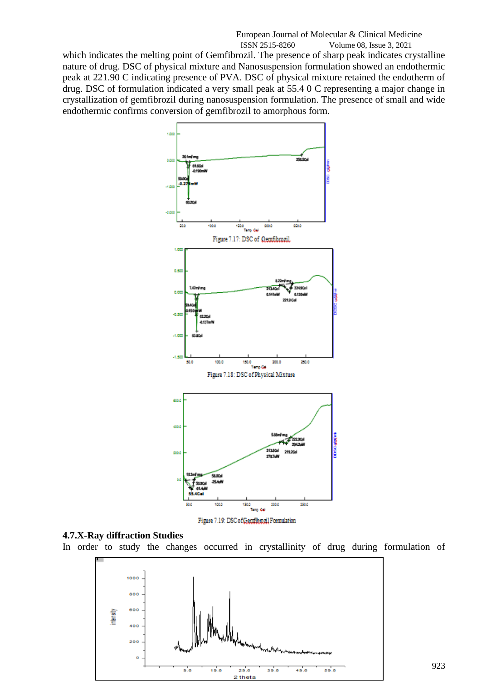which indicates the melting point of Gemfibrozil. The presence of sharp peak indicates crystalline nature of drug. DSC of physical mixture and Nanosuspension formulation showed an endothermic peak at 221.90 C indicating presence of PVA. DSC of physical mixture retained the endotherm of drug. DSC of formulation indicated a very small peak at 55.4 0 C representing a major change in crystallization of gemfibrozil during nanosuspension formulation. The presence of small and wide endothermic confirms conversion of gemfibrozil to amorphous form.



#### **4.7.X-Ray diffraction Studies**

In order to study the changes occurred in crystallinity of drug during formulation of



923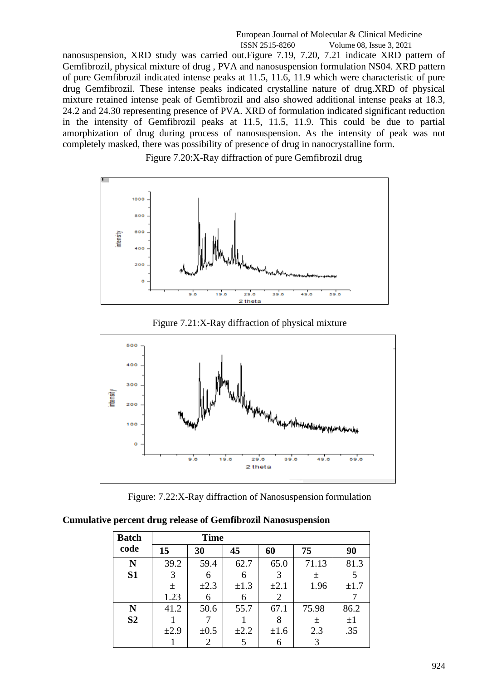nanosuspension, XRD study was carried out.Figure 7.19, 7.20, 7.21 indicate XRD pattern of Gemfibrozil, physical mixture of drug , PVA and nanosuspension formulation NS04. XRD pattern of pure Gemfibrozil indicated intense peaks at 11.5, 11.6, 11.9 which were characteristic of pure drug Gemfibrozil. These intense peaks indicated crystalline nature of drug.XRD of physical mixture retained intense peak of Gemfibrozil and also showed additional intense peaks at 18.3, 24.2 and 24.30 representing presence of PVA. XRD of formulation indicated significant reduction in the intensity of Gemfibrozil peaks at 11.5, 11.5, 11.9. This could be due to partial amorphization of drug during process of nanosuspension. As the intensity of peak was not completely masked, there was possibility of presence of drug in nanocrystalline form.

Figure 7.20:X-Ray diffraction of pure Gemfibrozil drug



Figure 7.21:X-Ray diffraction of physical mixture



Figure: 7.22:X-Ray diffraction of Nanosuspension formulation

**Cumulative percent drug release of Gemfibrozil Nanosuspension**

| <b>Batch</b>   |           | <b>Time</b> |           |                |       |           |
|----------------|-----------|-------------|-----------|----------------|-------|-----------|
| code           | 15        | 30          | 45        | 60             | 75    | 90        |
| N              | 39.2      | 59.4        | 62.7      | 65.0           | 71.13 | 81.3      |
| S <sub>1</sub> | 3         | 6           | 6         | 3              | 士     |           |
|                | 土         | $\pm 2.3$   | $\pm 1.3$ | $\pm 2.1$      | 1.96  | $\pm 1.7$ |
|                | 1.23      |             | 6         | $\overline{2}$ |       |           |
| N              | 41.2      | 50.6        | 55.7      | 67.1           | 75.98 | 86.2      |
| S <sub>2</sub> |           |             |           |                | 土     | $\pm 1$   |
|                | $\pm 2.9$ | $\pm 0.5$   | $\pm 2.2$ | $\pm 1.6$      | 2.3   | .35       |
|                |           |             |           | 6              | 3     |           |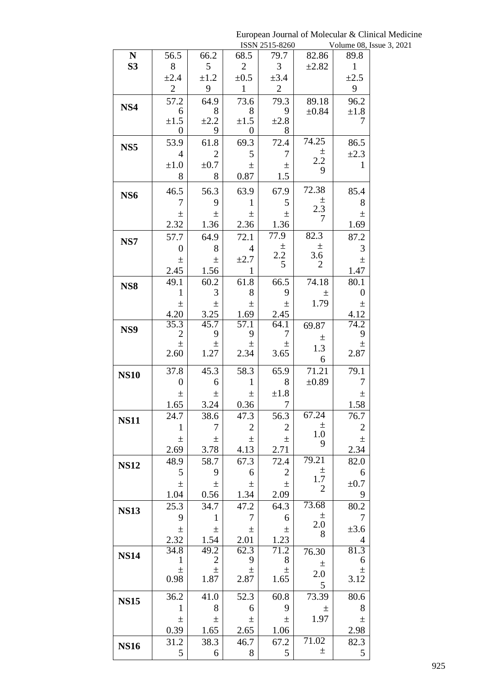|                 |                        |                |                  | ISSN 2515-8260 |                           | Volume 08, Is          |
|-----------------|------------------------|----------------|------------------|----------------|---------------------------|------------------------|
| ${\bf N}$       | 56.5                   | 66.2           | 68.5             | 79.7           | 82.86                     | 89.8                   |
| <b>S3</b>       | 8                      | 5              | $\overline{2}$   | 3              | $\pm 2.82$                | $\mathbf{1}$           |
|                 | $\pm 2.4$              | $\pm 1.2$      | $\pm 0.5$        | $\pm 3.4$      |                           | $\pm 2.5$              |
|                 | $\mathbf{2}$           | 9              | $\mathbf{1}$     | $\mathbf{2}$   |                           | 9                      |
|                 | 57.2                   | 64.9           | 73.6             | 79.3           | 89.18                     | 96.2                   |
| NS4             | 6                      | 8              | 8                | 9              | $\pm 0.84$                | $\pm 1.8$              |
|                 | $\pm 1.5$              | $\pm 2.2$      | $\pm 1.5$        | $\pm 2.8$      |                           | 7                      |
|                 | $\boldsymbol{0}$       | 9              | $\boldsymbol{0}$ | 8              |                           |                        |
| NS <sub>5</sub> | 53.9                   | 61.8           | 69.3             | 72.4           | 74.25                     | 86.5                   |
|                 | $\overline{4}$         | $\overline{2}$ | 5                | 7              | $\pm$                     | $\pm 2.3$              |
|                 | $\pm 1.0$              | $\pm 0.7$      | 土                | 土              | 2.2                       | $\mathbf{1}$           |
|                 | 8                      | 8              | 0.87             | 1.5            | 9                         |                        |
|                 | 46.5                   | 56.3           | 63.9             | 67.9           | 72.38                     | 85.4                   |
| NS <sub>6</sub> | 7                      | 9              | $\mathbf{1}$     | 5              | $\pm$                     | 8                      |
|                 |                        |                |                  |                | 2.3                       |                        |
|                 | $\pm$                  | $\pm$          | $\pm$            | $\pm$          | 7                         | $\pm$                  |
|                 | 2.32                   | 1.36           | 2.36             | 1.36           |                           | 1.69                   |
| NS7             | 57.7                   | 64.9           | 72.1             | 77.9           | 82.3                      | 87.2                   |
|                 | $\overline{0}$         | 8              | $\overline{4}$   | $\pm$<br>2.2   | $\pm$<br>3.6              | 3                      |
|                 | $\pm$                  | $\pm$          | $\pm 2.7$        | 5              | $\overline{2}$            | $\pm$                  |
|                 | 2.45                   | 1.56           | 1                |                |                           | 1.47                   |
| NS <sub>8</sub> | 49.1                   | 60.2           | 61.8             | 66.5           | 74.18                     | 80.1                   |
|                 | $\mathbf{1}$           | 3              | 8                | 9              | 土                         | $\boldsymbol{0}$       |
|                 | $\pm$                  | 士              | $\pm$            | 土              | 1.79                      | $\pm$                  |
|                 | 4.20                   | 3.25           | 1.69             | 2.45           |                           | 4.12                   |
| NS9             | 35.3<br>$\overline{c}$ | 45.7<br>9      | 57.1<br>9        | 64.1<br>7      | 69.87                     | $74.\overline{2}$<br>9 |
|                 | $\pm$                  | 土              | 土                | 土              | 土                         | 土                      |
|                 | 2.60                   | 1.27           | 2.34             | 3.65           | 1.3                       | 2.87                   |
|                 |                        |                |                  |                | 6                         |                        |
| <b>NS10</b>     | 37.8                   | 45.3           | 58.3             | 65.9           | 71.21                     | 79.1                   |
|                 | $\overline{0}$         | 6              | 1                | 8              | $\pm 0.89$                | $\tau$                 |
|                 | $\pm$                  | $\pm$          | $\pm$            | ±1.8           |                           | $\pm$                  |
|                 | 1.65                   | 3.24           | 0.36             | $\tau$         |                           | 1.58                   |
| <b>NS11</b>     | 24.7                   | 38.6           | 47.3             | 56.3           | $67.\overline{24}$        | 76.7                   |
|                 | 1                      | 7              | $\mathbf{2}$     | $\overline{2}$ | 土<br>$1.0\,$              | $\mathbf{2}$           |
|                 | $\pm$                  | 土              | $\pm$            | 土              | 9                         | $\pm$                  |
|                 | 2.69                   | 3.78           | 4.13             | 2.71           |                           | 2.34                   |
| <b>NS12</b>     | 48.9                   | 58.7           | 67.3             | 72.4           | 79.21                     | 82.0                   |
|                 | 5                      | 9              | 6                | $\mathfrak{2}$ | $\pm$                     | 6                      |
|                 | $\pm$                  | $\pm$          | 土                | $\pm$          | $1.7\,$<br>$\overline{2}$ | $\pm 0.7$              |
|                 | 1.04                   | 0.56           | 1.34             | 2.09           |                           | 9                      |
| <b>NS13</b>     | 25.3                   | 34.7           | 47.2             | 64.3           | 73.68                     | 80.2                   |
|                 | 9                      | 1              | 7                | 6              | $\pm$                     | 7                      |
|                 | $\pm$                  | $\pm$          | $\pm$            | $\pm$          | $2.0\,$<br>8              | $\pm 3.6$              |
|                 | 2.32                   | 1.54           | 2.01             | 1.23           |                           | 4                      |
|                 | 34.8                   | 49.2           | 62.3             | 71.2           | 76.30                     | 81.3                   |
| <b>NS14</b>     | $\mathbf{1}$           | $\mathbf{2}$   | 9                | 8              | $\pm$                     | 6                      |
|                 | $\pm$                  | $\pm$          | $\pm$            | $\pm$          | 2.0                       | $\pm$                  |
|                 | 0.98                   | 1.87           | 2.87             | 1.65           | 5                         | 3.12                   |
|                 | 36.2                   | 41.0           | 52.3             | 60.8           | 73.39                     | 80.6                   |
| <b>NS15</b>     | 1                      | 8              | 6                | 9              | 土                         | 8                      |
|                 | $\pm$                  | $\pm$          | 土                | $\pm$          | 1.97                      | $\pm$                  |
|                 | 0.39                   | 1.65           | 2.65             | 1.06           |                           | 2.98                   |
|                 | 31.2                   | 38.3           | 46.7             | 67.2           | 71.02                     | 82.3                   |
| <b>NS16</b>     | 5                      | 6              | $8\,$            | 5              | $\pm$                     | 5                      |
|                 |                        |                |                  |                |                           |                        |

European Journal of Molecular & Clinical Medicine ssue  $3, 2021$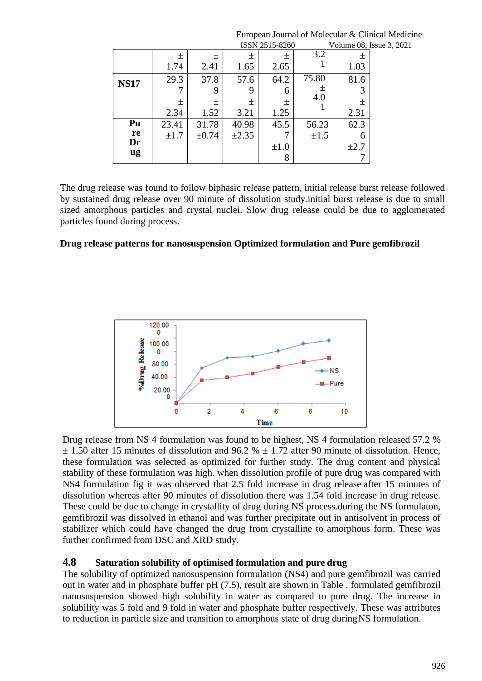|             | ISSN 2515-8260<br>Volume 08, Issue 3, 2021 |            |            |           |           |           |  |
|-------------|--------------------------------------------|------------|------------|-----------|-----------|-----------|--|
|             | 土                                          | 土          | 土          | $\pm$     | 3.2       | 土         |  |
|             | 1.74                                       | 2.41       | 1.65       | 2.65      |           | 1.03      |  |
| <b>NS17</b> | 29.3                                       | 37.8       | 57.6       | 64.2      | 75.80     | 81.6      |  |
|             |                                            | 9          | 9          | 6         | 土         | 3         |  |
|             | 土                                          | 土          | 土          | 土         | 4.0       | 土         |  |
|             | 2.34                                       | 1.52       | 3.21       | 1.25      |           | 2.31      |  |
| Pu          | 23.41                                      | 31.78      | 40.98      | 45.5      | 56.23     | 62.3      |  |
| re          | $\pm 1.7$                                  | $\pm 0.74$ | $\pm 2.35$ |           | $\pm 1.5$ | 6         |  |
| Dr          |                                            |            |            | $\pm 1.0$ |           | $\pm 2.7$ |  |
| ug          |                                            |            |            | 8         |           |           |  |

The drug release was found to follow biphasic release pattern, initial release burst release followed by sustained drug release over 90 minute of dissolution study.initial burst release is due to small sized amorphous particles and crystal nuclei. Slow drug release could be due to agglomerated particles found during process.

## **Drug release patterns for nanosuspension Optimized formulation and Pure gemfibrozil**



Drug release from NS 4 formulation was found to be highest, NS 4 formulation released 57.2 %  $\pm$  1.50 after 15 minutes of dissolution and 96.2 %  $\pm$  1.72 after 90 minute of dissolution. Hence, these formulation was selected as optimized for further study. The drug content and physical stability of these formulation was high. when dissolution profile of pure drug was compared with NS4 formulation fig it was observed that 2.5 fold increase in drug release after 15 minutes of dissolution whereas after 90 minutes of dissolution there was 1.54 fold increase in drug release. These could be due to change in crystallity of drug during NS process.during the NS formulaton, gemfibrozil was dissolved in ethanol and was further precipitate out in antisolvent in process of stabilizer which could have changed the drug from crystalline to amorphous form. These was further confirmed from DSC and XRD study.

## **4.8 Saturation solubility of optimised formulation and pure drug**

The solubility of optimized nanosuspension formulation (NS4) and pure gemfibrozil was carried out in water and in phosphate buffer pH (7.5), result are shown in Table . formulated gemfibrozil nanosuspension showed high solubility in water as compared to pure drug. The increase in solubility was 5 fold and 9 fold in water and phosphate buffer respectively. These was attributes to reduction in particle size and transition to amorphous state of drug duringNS formulation.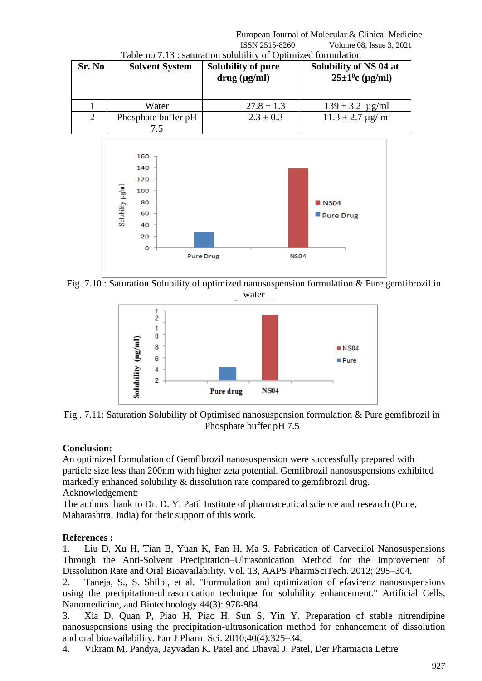#### European Journal of Molecular & Clinical Medicine ISSN 2515-8260 Volume 08, Issue 3, 2021 Table no 7.13 : saturation solubility of Optimized formulation

| Sr. No | <b>Solvent System</b> | Solubility of pure<br>$drug$ ( $\mu$ g/ml) | Solubility of NS 04 at<br>$25 \pm 1$ <sup>0</sup> c (µg/ml) |
|--------|-----------------------|--------------------------------------------|-------------------------------------------------------------|
|        | Water                 | $27.8 \pm 1.3$                             | $139 \pm 3.2$ µg/ml                                         |
| 2      | Phosphate buffer pH   | $2.3 \pm 0.3$                              | $11.3 \pm 2.7$ µg/ ml                                       |



Fig. 7.10 : Saturation Solubility of optimized nanosuspension formulation & Pure gemfibrozil in water



Fig . 7.11: Saturation Solubility of Optimised nanosuspension formulation & Pure gemfibrozil in Phosphate buffer pH 7.5

# **Conclusion:**

An optimized formulation of Gemfibrozil nanosuspension were successfully prepared with particle size less than 200nm with higher zeta potential. Gemfibrozil nanosuspensions exhibited markedly enhanced solubility & dissolution rate compared to gemfibrozil drug. Acknowledgement:

The authors thank to Dr. D. Y. Patil Institute of pharmaceutical science and research (Pune, Maharashtra, India) for their support of this work.

# **References :**

1. Liu D, Xu H, Tian B, Yuan K, Pan H, Ma S. Fabrication of Carvedilol Nanosuspensions Through the Anti-Solvent Precipitation–Ultrasonication Method for the Improvement of Dissolution Rate and Oral Bioavailability. Vol. 13, AAPS PharmSciTech. 2012; 295–304.

2. Taneja, S., S. Shilpi, et al. "Formulation and optimization of efavirenz nanosuspensions using the precipitation-ultrasonication technique for solubility enhancement." Artificial Cells, Nanomedicine, and Biotechnology 44(3): 978-984.

3. Xia D, Quan P, Piao H, Piao H, Sun S, Yin Y. Preparation of stable nitrendipine nanosuspensions using the precipitation-ultrasonication method for enhancement of dissolution and oral bioavailability. Eur J Pharm Sci. 2010;40(4):325–34.

4. Vikram M. Pandya, Jayvadan K. Patel and Dhaval J. Patel, Der Pharmacia Lettre